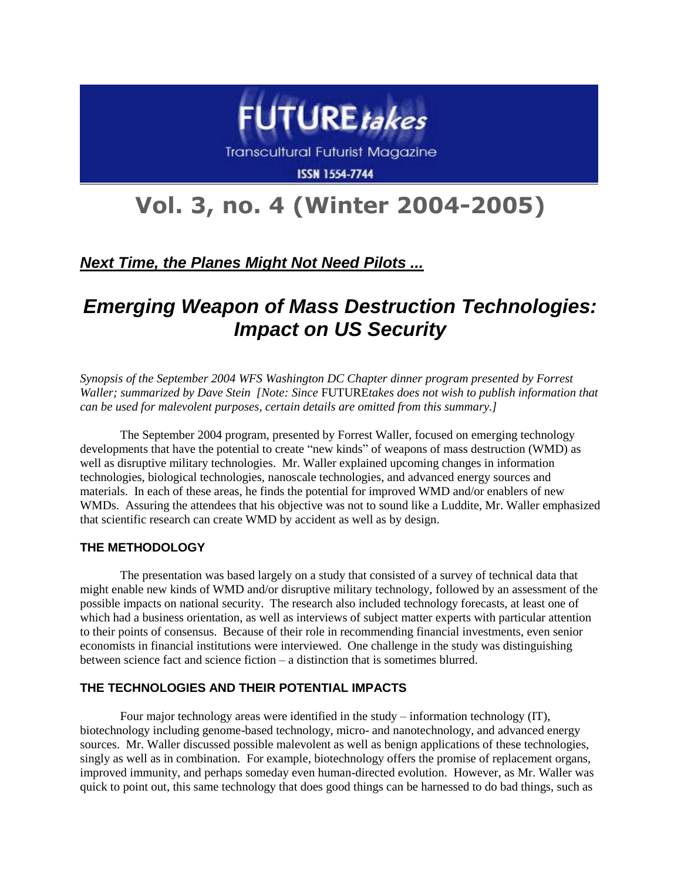

# **Vol. 3, no. 4 (Winter 2004-2005)**

### *Next Time, the Planes Might Not Need Pilots ...*

## *Emerging Weapon of Mass Destruction Technologies: Impact on US Security*

*Synopsis of the September 2004 WFS Washington DC Chapter dinner program presented by Forrest Waller; summarized by Dave Stein [Note: Since* FUTURE*takes does not wish to publish information that can be used for malevolent purposes, certain details are omitted from this summary.]* 

The September 2004 program, presented by Forrest Waller, focused on emerging technology developments that have the potential to create "new kinds" of weapons of mass destruction (WMD) as well as disruptive military technologies. Mr. Waller explained upcoming changes in information technologies, biological technologies, nanoscale technologies, and advanced energy sources and materials. In each of these areas, he finds the potential for improved WMD and/or enablers of new WMDs. Assuring the attendees that his objective was not to sound like a Luddite, Mr. Waller emphasized that scientific research can create WMD by accident as well as by design.

#### **THE METHODOLOGY**

The presentation was based largely on a study that consisted of a survey of technical data that might enable new kinds of WMD and/or disruptive military technology, followed by an assessment of the possible impacts on national security. The research also included technology forecasts, at least one of which had a business orientation, as well as interviews of subject matter experts with particular attention to their points of consensus. Because of their role in recommending financial investments, even senior economists in financial institutions were interviewed. One challenge in the study was distinguishing between science fact and science fiction – a distinction that is sometimes blurred.

#### **THE TECHNOLOGIES AND THEIR POTENTIAL IMPACTS**

Four major technology areas were identified in the study – information technology (IT), biotechnology including genome-based technology, micro- and nanotechnology, and advanced energy sources. Mr. Waller discussed possible malevolent as well as benign applications of these technologies, singly as well as in combination. For example, biotechnology offers the promise of replacement organs, improved immunity, and perhaps someday even human-directed evolution. However, as Mr. Waller was quick to point out, this same technology that does good things can be harnessed to do bad things, such as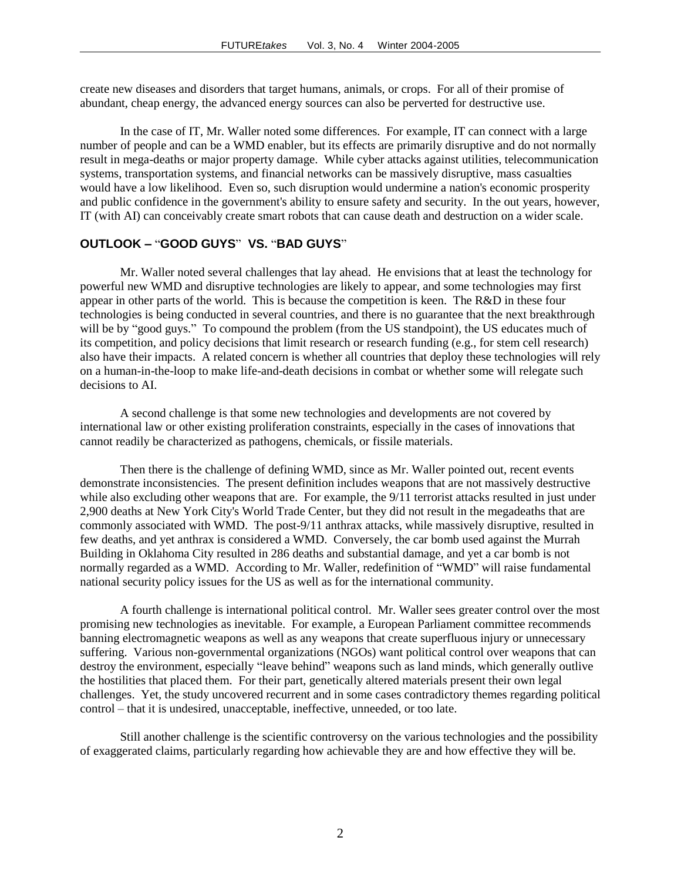create new diseases and disorders that target humans, animals, or crops. For all of their promise of abundant, cheap energy, the advanced energy sources can also be perverted for destructive use.

In the case of IT, Mr. Waller noted some differences. For example, IT can connect with a large number of people and can be a WMD enabler, but its effects are primarily disruptive and do not normally result in mega-deaths or major property damage. While cyber attacks against utilities, telecommunication systems, transportation systems, and financial networks can be massively disruptive, mass casualties would have a low likelihood. Even so, such disruption would undermine a nation's economic prosperity and public confidence in the government's ability to ensure safety and security. In the out years, however, IT (with AI) can conceivably create smart robots that can cause death and destruction on a wider scale.

#### **OUTLOOK –** "**GOOD GUYS**" **VS.** "**BAD GUYS**"

Mr. Waller noted several challenges that lay ahead. He envisions that at least the technology for powerful new WMD and disruptive technologies are likely to appear, and some technologies may first appear in other parts of the world. This is because the competition is keen. The R&D in these four technologies is being conducted in several countries, and there is no guarantee that the next breakthrough will be by "good guys." To compound the problem (from the US standpoint), the US educates much of its competition, and policy decisions that limit research or research funding (e.g., for stem cell research) also have their impacts. A related concern is whether all countries that deploy these technologies will rely on a human-in-the-loop to make life-and-death decisions in combat or whether some will relegate such decisions to AI.

A second challenge is that some new technologies and developments are not covered by international law or other existing proliferation constraints, especially in the cases of innovations that cannot readily be characterized as pathogens, chemicals, or fissile materials.

Then there is the challenge of defining WMD, since as Mr. Waller pointed out, recent events demonstrate inconsistencies. The present definition includes weapons that are not massively destructive while also excluding other weapons that are. For example, the 9/11 terrorist attacks resulted in just under 2,900 deaths at New York City's World Trade Center, but they did not result in the megadeaths that are commonly associated with WMD. The post-9/11 anthrax attacks, while massively disruptive, resulted in few deaths, and yet anthrax is considered a WMD. Conversely, the car bomb used against the Murrah Building in Oklahoma City resulted in 286 deaths and substantial damage, and yet a car bomb is not normally regarded as a WMD. According to Mr. Waller, redefinition of "WMD" will raise fundamental national security policy issues for the US as well as for the international community.

A fourth challenge is international political control. Mr. Waller sees greater control over the most promising new technologies as inevitable. For example, a European Parliament committee recommends banning electromagnetic weapons as well as any weapons that create superfluous injury or unnecessary suffering. Various non-governmental organizations (NGOs) want political control over weapons that can destroy the environment, especially "leave behind" weapons such as land minds, which generally outlive the hostilities that placed them. For their part, genetically altered materials present their own legal challenges. Yet, the study uncovered recurrent and in some cases contradictory themes regarding political control – that it is undesired, unacceptable, ineffective, unneeded, or too late.

Still another challenge is the scientific controversy on the various technologies and the possibility of exaggerated claims, particularly regarding how achievable they are and how effective they will be.